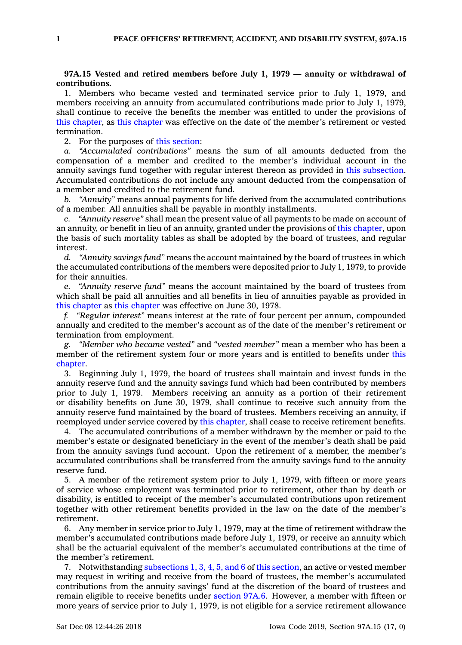## **97A.15 Vested and retired members before July 1, 1979 — annuity or withdrawal of contributions.**

1. Members who became vested and terminated service prior to July 1, 1979, and members receiving an annuity from accumulated contributions made prior to July 1, 1979, shall continue to receive the benefits the member was entitled to under the provisions of this [chapter](https://www.legis.iowa.gov/docs/code//97A.pdf), as this [chapter](https://www.legis.iowa.gov/docs/code//97A.pdf) was effective on the date of the member's retirement or vested termination.

2. For the purposes of this [section](https://www.legis.iowa.gov/docs/code/97A.15.pdf):

*a. "Accumulated contributions"* means the sum of all amounts deducted from the compensation of <sup>a</sup> member and credited to the member's individual account in the annuity savings fund together with regular interest thereon as provided in this [subsection](https://www.legis.iowa.gov/docs/code/97A.15.pdf). Accumulated contributions do not include any amount deducted from the compensation of <sup>a</sup> member and credited to the retirement fund.

*b. "Annuity"* means annual payments for life derived from the accumulated contributions of <sup>a</sup> member. All annuities shall be payable in monthly installments.

*c. "Annuity reserve"* shall mean the present value of all payments to be made on account of an annuity, or benefit in lieu of an annuity, granted under the provisions of this [chapter](https://www.legis.iowa.gov/docs/code//97A.pdf), upon the basis of such mortality tables as shall be adopted by the board of trustees, and regular interest.

*d. "Annuity savings fund"* means the account maintained by the board of trustees in which the accumulated contributions of the members were deposited prior to July 1, 1979, to provide for their annuities.

*e. "Annuity reserve fund"* means the account maintained by the board of trustees from which shall be paid all annuities and all benefits in lieu of annuities payable as provided in this [chapter](https://www.legis.iowa.gov/docs/code//97A.pdf) as this [chapter](https://www.legis.iowa.gov/docs/code//97A.pdf) was effective on June 30, 1978.

*f. "Regular interest"* means interest at the rate of four percent per annum, compounded annually and credited to the member's account as of the date of the member's retirement or termination from employment.

*g. "Member who became vested"* and *"vested member"* mean <sup>a</sup> member who has been <sup>a</sup> member of the retirement system four or more years and is entitled to benefits under [this](https://www.legis.iowa.gov/docs/code//97A.pdf) [chapter](https://www.legis.iowa.gov/docs/code//97A.pdf).

3. Beginning July 1, 1979, the board of trustees shall maintain and invest funds in the annuity reserve fund and the annuity savings fund which had been contributed by members prior to July 1, 1979. Members receiving an annuity as <sup>a</sup> portion of their retirement or disability benefits on June 30, 1979, shall continue to receive such annuity from the annuity reserve fund maintained by the board of trustees. Members receiving an annuity, if reemployed under service covered by this [chapter](https://www.legis.iowa.gov/docs/code//97A.pdf), shall cease to receive retirement benefits.

4. The accumulated contributions of <sup>a</sup> member withdrawn by the member or paid to the member's estate or designated beneficiary in the event of the member's death shall be paid from the annuity savings fund account. Upon the retirement of <sup>a</sup> member, the member's accumulated contributions shall be transferred from the annuity savings fund to the annuity reserve fund.

5. A member of the retirement system prior to July 1, 1979, with fifteen or more years of service whose employment was terminated prior to retirement, other than by death or disability, is entitled to receipt of the member's accumulated contributions upon retirement together with other retirement benefits provided in the law on the date of the member's retirement.

6. Any member in service prior to July 1, 1979, may at the time of retirement withdraw the member's accumulated contributions made before July 1, 1979, or receive an annuity which shall be the actuarial equivalent of the member's accumulated contributions at the time of the member's retirement.

7. Notwithstanding [subsections](https://www.legis.iowa.gov/docs/code/97A.15.pdf) 1, 3, 4, 5, and 6 of this [section](https://www.legis.iowa.gov/docs/code/97A.15.pdf), an active or vested member may request in writing and receive from the board of trustees, the member's accumulated contributions from the annuity savings' fund at the discretion of the board of trustees and remain eligible to receive benefits under [section](https://www.legis.iowa.gov/docs/code/97A.6.pdf) 97A.6. However, <sup>a</sup> member with fifteen or more years of service prior to July 1, 1979, is not eligible for <sup>a</sup> service retirement allowance